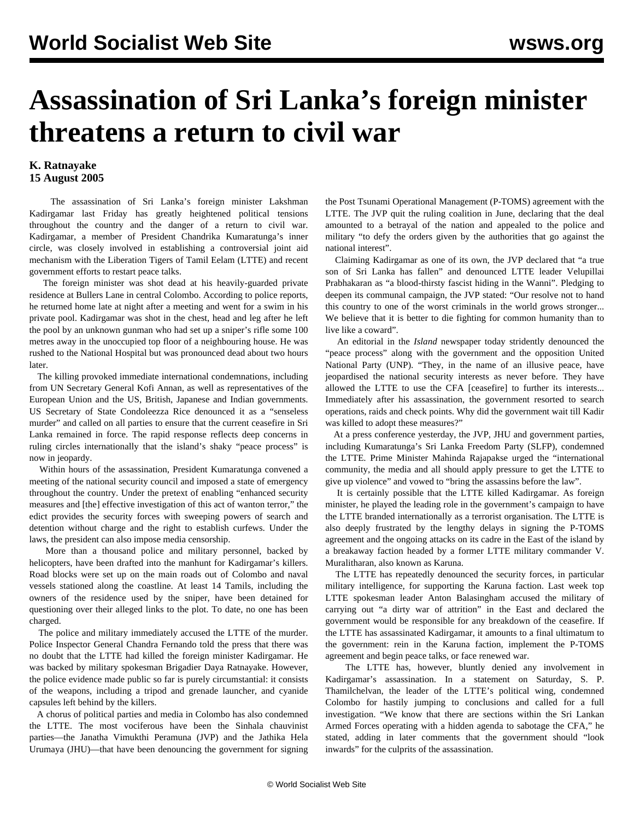## **Assassination of Sri Lanka's foreign minister threatens a return to civil war**

## **K. Ratnayake 15 August 2005**

 The assassination of Sri Lanka's foreign minister Lakshman Kadirgamar last Friday has greatly heightened political tensions throughout the country and the danger of a return to civil war. Kadirgamar, a member of President Chandrika Kumaratunga's inner circle, was closely involved in establishing a controversial joint aid mechanism with the Liberation Tigers of Tamil Eelam (LTTE) and recent government efforts to restart peace talks.

 The foreign minister was shot dead at his heavily-guarded private residence at Bullers Lane in central Colombo. According to police reports, he returned home late at night after a meeting and went for a swim in his private pool. Kadirgamar was shot in the chest, head and leg after he left the pool by an unknown gunman who had set up a sniper's rifle some 100 metres away in the unoccupied top floor of a neighbouring house. He was rushed to the National Hospital but was pronounced dead about two hours later.

 The killing provoked immediate international condemnations, including from UN Secretary General Kofi Annan, as well as representatives of the European Union and the US, British, Japanese and Indian governments. US Secretary of State Condoleezza Rice denounced it as a "senseless murder" and called on all parties to ensure that the current ceasefire in Sri Lanka remained in force. The rapid response reflects deep concerns in ruling circles internationally that the island's shaky "peace process" is now in jeopardy.

 Within hours of the assassination, President Kumaratunga convened a meeting of the national security council and imposed a state of emergency throughout the country. Under the pretext of enabling "enhanced security measures and [the] effective investigation of this act of wanton terror," the edict provides the security forces with sweeping powers of search and detention without charge and the right to establish curfews. Under the laws, the president can also impose media censorship.

 More than a thousand police and military personnel, backed by helicopters, have been drafted into the manhunt for Kadirgamar's killers. Road blocks were set up on the main roads out of Colombo and naval vessels stationed along the coastline. At least 14 Tamils, including the owners of the residence used by the sniper, have been detained for questioning over their alleged links to the plot. To date, no one has been charged.

 The police and military immediately accused the LTTE of the murder. Police Inspector General Chandra Fernando told the press that there was no doubt that the LTTE had killed the foreign minister Kadirgamar. He was backed by military spokesman Brigadier Daya Ratnayake. However, the police evidence made public so far is purely circumstantial: it consists of the weapons, including a tripod and grenade launcher, and cyanide capsules left behind by the killers.

 A chorus of political parties and media in Colombo has also condemned the LTTE. The most vociferous have been the Sinhala chauvinist parties—the Janatha Vimukthi Peramuna (JVP) and the Jathika Hela Urumaya (JHU)—that have been denouncing the government for signing the Post Tsunami Operational Management (P-TOMS) agreement with the LTTE. The JVP quit the ruling coalition in June, declaring that the deal amounted to a betrayal of the nation and appealed to the police and military "to defy the orders given by the authorities that go against the national interest".

 Claiming Kadirgamar as one of its own, the JVP declared that "a true son of Sri Lanka has fallen" and denounced LTTE leader Velupillai Prabhakaran as "a blood-thirsty fascist hiding in the Wanni". Pledging to deepen its communal campaign, the JVP stated: "Our resolve not to hand this country to one of the worst criminals in the world grows stronger... We believe that it is better to die fighting for common humanity than to live like a coward".

 An editorial in the *Island* newspaper today stridently denounced the "peace process" along with the government and the opposition United National Party (UNP). "They, in the name of an illusive peace, have jeopardised the national security interests as never before. They have allowed the LTTE to use the CFA [ceasefire] to further its interests... Immediately after his assassination, the government resorted to search operations, raids and check points. Why did the government wait till Kadir was killed to adopt these measures?"

 At a press conference yesterday, the JVP, JHU and government parties, including Kumaratunga's Sri Lanka Freedom Party (SLFP), condemned the LTTE. Prime Minister Mahinda Rajapakse urged the "international community, the media and all should apply pressure to get the LTTE to give up violence" and vowed to "bring the assassins before the law".

 It is certainly possible that the LTTE killed Kadirgamar. As foreign minister, he played the leading role in the government's campaign to have the LTTE branded internationally as a terrorist organisation. The LTTE is also deeply frustrated by the lengthy delays in signing the P-TOMS agreement and the ongoing attacks on its cadre in the East of the island by a breakaway faction headed by a former LTTE military commander V. Muralitharan, also known as Karuna.

 The LTTE has repeatedly denounced the security forces, in particular military intelligence, for supporting the Karuna faction. Last week top LTTE spokesman leader Anton Balasingham accused the military of carrying out "a dirty war of attrition" in the East and declared the government would be responsible for any breakdown of the ceasefire. If the LTTE has assassinated Kadirgamar, it amounts to a final ultimatum to the government: rein in the Karuna faction, implement the P-TOMS agreement and begin peace talks, or face renewed war.

 The LTTE has, however, bluntly denied any involvement in Kadirgamar's assassination. In a statement on Saturday, S. P. Thamilchelvan, the leader of the LTTE's political wing, condemned Colombo for hastily jumping to conclusions and called for a full investigation. "We know that there are sections within the Sri Lankan Armed Forces operating with a hidden agenda to sabotage the CFA," he stated, adding in later comments that the government should "look inwards" for the culprits of the assassination.